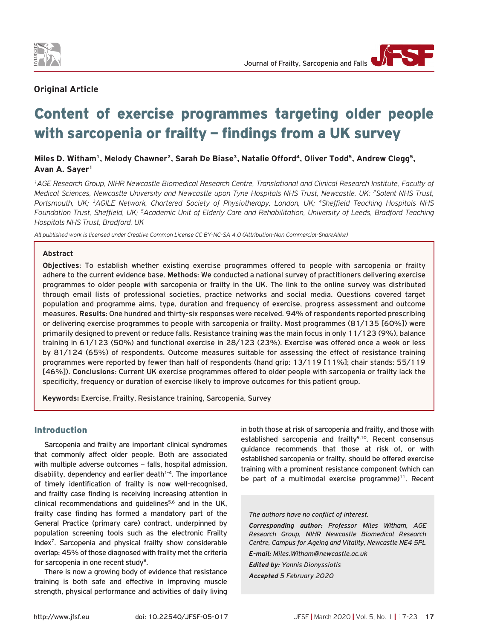

# **Original Article**

# Content of exercise programmes targeting older people with sarcopenia or frailty – findings from a UK survey

# Miles D. Witham<sup>1</sup>, Melody Chawner<sup>2</sup>, Sarah De Biase<sup>3</sup>, Natalie Offord<sup>4</sup>, Oliver Todd<sup>5</sup>, Andrew Clegg<sup>5</sup>, **Avan A. Sayer1**

*1AGE Research Group, NIHR Newcastle Biomedical Research Centre, Translational and Clinical Research Institute, Faculty of Medical Sciences, Newcastle University and Newcastle upon Tyne Hospitals NHS Trust, Newcastle, UK; 2Solent NHS Trust, Portsmouth, UK; 3AGILE Network, Chartered Society of Physiotherapy, London, UK; 4Sheffield Teaching Hospitals NHS Foundation Trust, Sheffield, UK; 5Academic Unit of Elderly Care and Rehabilitation, University of Leeds, Bradford Teaching Hospitals NHS Trust, Bradford, UK*

*All published work is licensed under Creative Common License CC BY-NC-SA 4.0 (Attribution-Non Commercial-ShareAlike)*

#### **Abstract**

**Objectives**: To establish whether existing exercise programmes offered to people with sarcopenia or frailty adhere to the current evidence base. **Methods**: We conducted a national survey of practitioners delivering exercise programmes to older people with sarcopenia or frailty in the UK. The link to the online survey was distributed through email lists of professional societies, practice networks and social media. Questions covered target population and programme aims, type, duration and frequency of exercise, progress assessment and outcome measures. **Results**: One hundred and thirty-six responses were received. 94% of respondents reported prescribing or delivering exercise programmes to people with sarcopenia or frailty. Most programmes (81/135 [60%]) were primarily designed to prevent or reduce falls. Resistance training was the main focus in only 11/123 (9%), balance training in 61/123 (50%) and functional exercise in 28/123 (23%). Exercise was offered once a week or less by 81/124 (65%) of respondents. Outcome measures suitable for assessing the effect of resistance training programmes were reported by fewer than half of respondents (hand grip: 13/119 [11%]; chair stands: 55/119 [46%]). **Conclusions**: Current UK exercise programmes offered to older people with sarcopenia or frailty lack the specificity, frequency or duration of exercise likely to improve outcomes for this patient group.

**Keywords:** Exercise, Frailty, Resistance training, Sarcopenia, Survey

# Introduction

Sarcopenia and frailty are important clinical syndromes that commonly affect older people. Both are associated with multiple adverse outcomes – falls, hospital admission, disability, dependency and earlier death $1-4$ . The importance of timely identification of frailty is now well-recognised, and frailty case finding is receiving increasing attention in clinical recommendations and guidelines<sup>5,6</sup> and in the UK, frailty case finding has formed a mandatory part of the General Practice (primary care) contract, underpinned by population screening tools such as the electronic Frailty Index7. Sarcopenia and physical frailty show considerable overlap; 45% of those diagnosed with frailty met the criteria for sarcopenia in one recent study<sup>8</sup>.

There is now a growing body of evidence that resistance training is both safe and effective in improving muscle strength, physical performance and activities of daily living in both those at risk of sarcopenia and frailty, and those with established sarcopenia and frailty<sup>9,10</sup>. Recent consensus guidance recommends that those at risk of, or with established sarcopenia or frailty, should be offered exercise training with a prominent resistance component (which can be part of a multimodal exercise programme) $11$ . Recent

*The authors have no conflict of interest.*

*Corresponding author: Professor Miles Witham, AGE Research Group, NIHR Newcastle Biomedical Research Centre, Campus for Ageing and Vitality, Newcastle NE4 5PL*

*E-mail: Miles.Witham@newcastle.ac.uk*

*Edited by: Yannis Dionyssiotis Accepted 5 February 2020*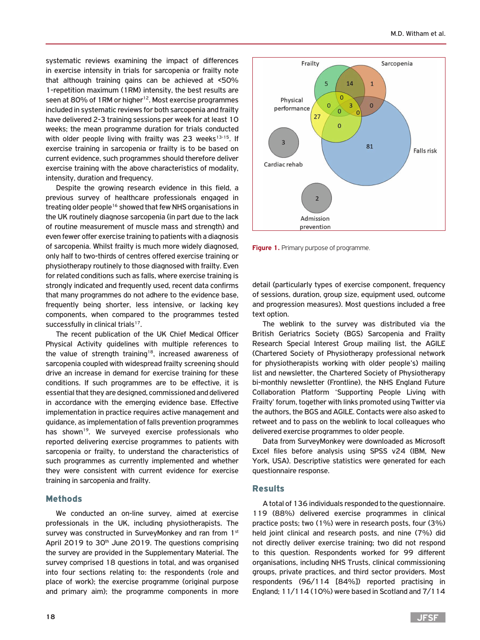systematic reviews examining the impact of differences in exercise intensity in trials for sarcopenia or frailty note that although training gains can be achieved at <50% 1-repetition maximum (1RM) intensity, the best results are seen at 80% of 1RM or higher<sup>12</sup>. Most exercise programmes included in systematic reviews for both sarcopenia and frailty have delivered 2-3 training sessions per week for at least 10 weeks; the mean programme duration for trials conducted with older people living with frailty was 23 weeks<sup>13-15</sup>. If exercise training in sarcopenia or frailty is to be based on current evidence, such programmes should therefore deliver exercise training with the above characteristics of modality, intensity, duration and frequency.

Despite the growing research evidence in this field, a previous survey of healthcare professionals engaged in treating older people<sup>16</sup> showed that few NHS organisations in the UK routinely diagnose sarcopenia (in part due to the lack of routine measurement of muscle mass and strength) and even fewer offer exercise training to patients with a diagnosis of sarcopenia. Whilst frailty is much more widely diagnosed, only half to two-thirds of centres offered exercise training or physiotherapy routinely to those diagnosed with frailty. Even for related conditions such as falls, where exercise training is strongly indicated and frequently used, recent data confirms that many programmes do not adhere to the evidence base, frequently being shorter, less intensive, or lacking key components, when compared to the programmes tested successfully in clinical trials<sup>17</sup>.

The recent publication of the UK Chief Medical Officer Physical Activity guidelines with multiple references to the value of strength training<sup>18</sup>, increased awareness of sarcopenia coupled with widespread frailty screening should drive an increase in demand for exercise training for these conditions. If such programmes are to be effective, it is essential that they are designed, commissioned and delivered in accordance with the emerging evidence base. Effective implementation in practice requires active management and guidance, as implementation of falls prevention programmes has shown<sup>19</sup>. We surveyed exercise professionals who reported delivering exercise programmes to patients with sarcopenia or frailty, to understand the characteristics of such programmes as currently implemented and whether they were consistent with current evidence for exercise training in sarcopenia and frailty.

## Methods

We conducted an on-line survey, aimed at exercise professionals in the UK, including physiotherapists. The survey was constructed in SurveyMonkey and ran from 1st April 2019 to 30<sup>th</sup> June 2019. The questions comprising the survey are provided in the Supplementary Material. The survey comprised 18 questions in total, and was organised into four sections relating to: the respondents (role and place of work); the exercise programme (original purpose and primary aim); the programme components in more



**Figure 1.** Primary purpose of programme.

detail (particularly types of exercise component, frequency of sessions, duration, group size, equipment used, outcome and progression measures). Most questions included a free text option.

The weblink to the survey was distributed via the British Geriatrics Society (BGS) Sarcopenia and Frailty Research Special Interest Group mailing list, the AGILE (Chartered Society of Physiotherapy professional network for physiotherapists working with older people's) mailing list and newsletter, the Chartered Society of Physiotherapy bi-monthly newsletter (Frontline), the NHS England Future Collaboration Platform 'Supporting People Living with Frailty' forum, together with links promoted using Twitter via the authors, the BGS and AGILE. Contacts were also asked to retweet and to pass on the weblink to local colleagues who delivered exercise programmes to older people.

Data from SurveyMonkey were downloaded as Microsoft Excel files before analysis using SPSS v24 (IBM, New York, USA). Descriptive statistics were generated for each questionnaire response.

#### Results

A total of 136 individuals responded to the questionnaire. 119 (88%) delivered exercise programmes in clinical practice posts; two (1%) were in research posts, four (3%) held joint clinical and research posts, and nine (7%) did not directly deliver exercise training; two did not respond to this question. Respondents worked for 99 different organisations, including NHS Trusts, clinical commissioning groups, private practices, and third sector providers. Most respondents (96/114 [84%]) reported practising in England; 11/114 (10%) were based in Scotland and 7/114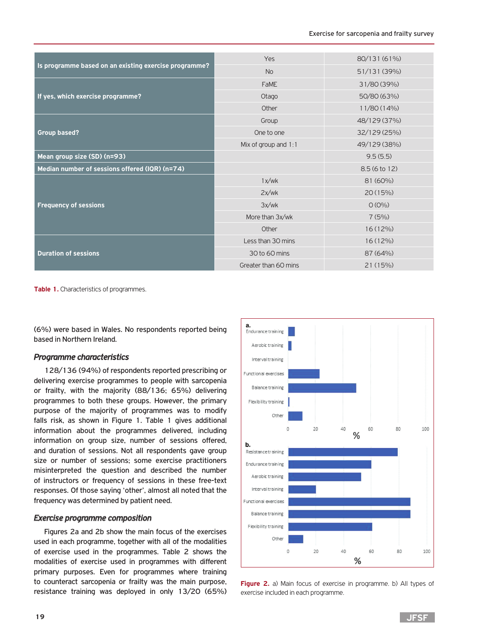|                                                       | Yes                    | 80/131 (61%) |  |  |
|-------------------------------------------------------|------------------------|--------------|--|--|
| Is programme based on an existing exercise programme? | <b>No</b>              | 51/131 (39%) |  |  |
|                                                       | <b>FaME</b>            | 31/80 (39%)  |  |  |
| If yes, which exercise programme?                     | Otago                  | 50/80 (63%)  |  |  |
|                                                       | Other                  | 11/80 (14%)  |  |  |
|                                                       | Group                  | 48/129 (37%) |  |  |
| <b>Group based?</b>                                   | One to one             | 32/129 (25%) |  |  |
|                                                       | Mix of group and $1:1$ | 49/129 (38%) |  |  |
| Mean group size (SD) (n=93)                           |                        | 9.5(5.5)     |  |  |
| Median number of sessions offered (IQR) (n=74)        |                        | 8.5(6 to 12) |  |  |
|                                                       | 1x/wk                  | 81 (60%)     |  |  |
|                                                       | 2x/wk                  | 20(15%)      |  |  |
| <b>Frequency of sessions</b>                          | 3x/wk                  | $O (O\%)$    |  |  |
|                                                       | More than 3x/wk        | 7(5%)        |  |  |
|                                                       | Other                  | $16(12\%)$   |  |  |
|                                                       | Less than 30 mins      | $16(12\%)$   |  |  |
| <b>Duration of sessions</b>                           | 30 to 60 mins          | 87 (64%)     |  |  |
|                                                       | Greater than 60 mins   | 21(15%)      |  |  |

**Table 1.** Characteristics of programmes.

(6%) were based in Wales. No respondents reported being based in Northern Ireland.

## *Programme characteristics*

128/136 (94%) of respondents reported prescribing or delivering exercise programmes to people with sarcopenia or frailty, with the majority (88/136; 65%) delivering programmes to both these groups. However, the primary purpose of the majority of programmes was to modify falls risk, as shown in Figure 1. Table 1 gives additional information about the programmes delivered, including information on group size, number of sessions offered, and duration of sessions. Not all respondents gave group size or number of sessions; some exercise practitioners misinterpreted the question and described the number of instructors or frequency of sessions in these free-text responses. Of those saying 'other', almost all noted that the frequency was determined by patient need.

### *Exercise programme composition*

Figures 2a and 2b show the main focus of the exercises used in each programme, together with all of the modalities of exercise used in the programmes. Table 2 shows the modalities of exercise used in programmes with different primary purposes. Even for programmes where training to counteract sarcopenia or frailty was the main purpose, resistance training was deployed in only 13/20 (65%)



**Figure 2.** a) Main focus of exercise in programme. b) All types of exercise included in each programme.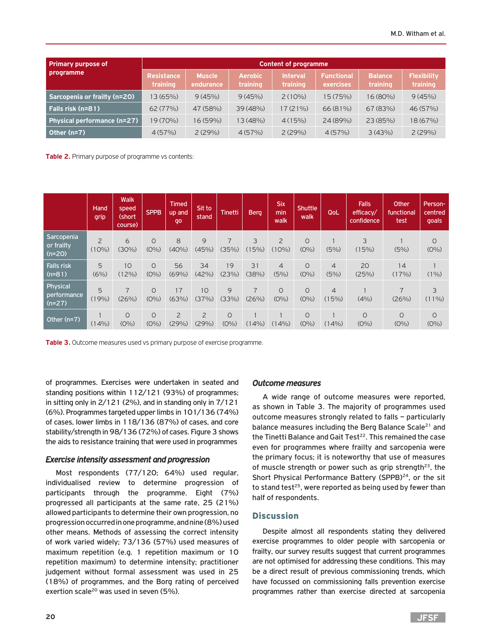| <b>Primary purpose of</b>    | <b>Content of programme</b>   |                            |                            |                             |                                |                            |                                |  |  |
|------------------------------|-------------------------------|----------------------------|----------------------------|-----------------------------|--------------------------------|----------------------------|--------------------------------|--|--|
| programme                    | <b>Resistance</b><br>training | <b>Muscle</b><br>endurance | <b>Aerobic</b><br>training | <b>Interval</b><br>training | <b>Functional</b><br>exercises | <b>Balance</b><br>training | <b>Flexibility</b><br>training |  |  |
| Sarcopenia or frailty (n=20) | 13 (65%)                      | 9(45%)                     | 9(45%)                     | $2(10\%)$                   | 15 (75%)                       | 16 (80%)                   | 9(45%)                         |  |  |
| Falls risk (n=81)            | 62(77%)                       | 47 (58%)                   | 39(48%)                    | 17(21%)                     | 66 (81%)                       | 67(83%)                    | 46 (57%)                       |  |  |
| Physical performance (n=27)  | 19 (70%)                      | 16 (59%)                   | 13 (48%)                   | 4(15%)                      | 24(89%)                        | 23(85%)                    | 18 (67%)                       |  |  |
| Other (n=7)                  | 4(57%)                        | 2(29%)                     | 4(57%)                     | 2(29%)                      | 4(57%)                         | 3(43%)                     | 2(29%)                         |  |  |

**Table 2.** Primary purpose of programme vs contents:

|                                      | Hand<br>grip               | <b>Walk</b><br>speed<br>(short<br>course) | <b>SPPB</b>        | <b>Timed</b><br>up and<br>go | Sit to<br>stand         | <b>Tinetti</b>     | <b>Berg</b> | <b>Six</b><br>min<br>walk  | <b>Shuttle</b><br>walk | QoL                     | <b>Falls</b><br>efficacy/<br>confidence | Other<br>functional<br>test | Person-<br>centred<br>goals |
|--------------------------------------|----------------------------|-------------------------------------------|--------------------|------------------------------|-------------------------|--------------------|-------------|----------------------------|------------------------|-------------------------|-----------------------------------------|-----------------------------|-----------------------------|
| Sarcopenia<br>or frailty<br>$(n=20)$ | $\overline{2}$<br>$(10\%)$ | 6<br>$(30\%)$                             | $\circ$<br>$(O\%)$ | 8<br>$(40\%)$                | 9<br>(45%)              | 7<br>(35%)         | 3<br>(15%)  | $\overline{2}$<br>$(10\%)$ | $\circ$<br>$(O\%)$     | (5%)                    | 3<br>(15%)                              | (5%)                        | O<br>$(O\%)$                |
| <b>Falls risk</b><br>$(n=81)$        | 5<br>(6% )                 | 10<br>$(12\%)$                            | $\circ$<br>$(O\%)$ | 56<br>(69%)                  | 34<br>(42%)             | 19<br>(23%)        | 31<br>(38%) | $\overline{4}$<br>(5%)     | $\circ$<br>$(O\%)$     | $\overline{4}$<br>(5%)  | 20<br>(25%)                             | 14<br>(17%)                 | $(1\%)$                     |
| Physical<br>performance<br>$(n=27)$  | 5<br>(19%)                 | $\overline{7}$<br>(26%)                   | $\circ$<br>$(O\%)$ | 17<br>(63%)                  | 10<br>(37%)             | 9<br>(33%)         | 7<br>(26%)  | $\circ$<br>$(O\%)$         | $\circ$<br>$(O\%)$     | $\overline{4}$<br>(15%) | (4% )                                   | $\overline{7}$<br>(26%)     | 3<br>$(11\%)$               |
| Other $(n=7)$                        | (14%)                      | $\circ$<br>$(O\%)$                        | $\circ$<br>$(O\%)$ | $\overline{2}$<br>(29%)      | $\overline{2}$<br>(29%) | $\circ$<br>$(O\%)$ | $(14\%)$    | (14%)                      | $\circ$<br>$(O\%)$     | $(14\%)$                | $\circ$<br>$(O\%)$                      | $\circ$<br>$(O\%)$          | $\circ$<br>$(O\%)$          |

**Table 3.** Outcome measures used vs primary purpose of exercise programme.

of programmes. Exercises were undertaken in seated and standing positions within 112/121 (93%) of programmes; in sitting only in 2/121 (2%), and in standing only in 7/121 (6%). Programmes targeted upper limbs in 101/136 (74%) of cases, lower limbs in 118/136 (87%) of cases, and core stability/strength in 98/136 (72%) of cases. Figure 3 shows the aids to resistance training that were used in programmes

## *Exercise intensity assessment and progression*

Most respondents (77/120; 64%) used regular, individualised review to determine progression of participants through the programme. Eight (7%) progressed all participants at the same rate, 25 (21%) allowed participants to determine their own progression, no progression occurred in one programme, and nine (8%) used other means. Methods of assessing the correct intensity of work varied widely; 73/136 (57%) used measures of maximum repetition (e.g. 1 repetition maximum or 10 repetition maximum) to determine intensity; practitioner judgement without formal assessment was used in 25 (18%) of programmes, and the Borg rating of perceived exertion scale<sup>20</sup> was used in seven (5%).

### *Outcome measures*

A wide range of outcome measures were reported, as shown in Table 3. The majority of programmes used outcome measures strongly related to falls – particularly balance measures including the Berg Balance Scale<sup>21</sup> and the Tinetti Balance and Gait Test<sup>22</sup>. This remained the case even for programmes where frailty and sarcopenia were the primary focus; it is noteworthy that use of measures of muscle strength or power such as grip strength $23$ , the Short Physical Performance Battery (SPPB)<sup>24</sup>, or the sit to stand test<sup>25</sup>, were reported as being used by fewer than half of respondents.

## **Discussion**

Despite almost all respondents stating they delivered exercise programmes to older people with sarcopenia or frailty, our survey results suggest that current programmes are not optimised for addressing these conditions. This may be a direct result of previous commissioning trends, which have focussed on commissioning falls prevention exercise programmes rather than exercise directed at sarcopenia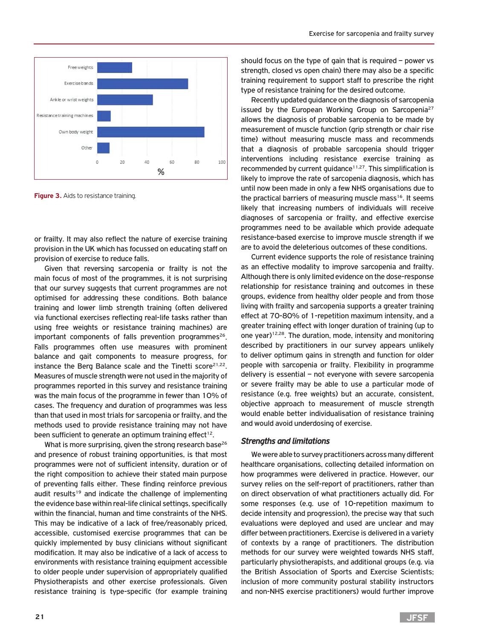

**Figure 3.** Aids to resistance training.

or frailty. It may also reflect the nature of exercise training provision in the UK which has focussed on educating staff on provision of exercise to reduce falls.

Given that reversing sarcopenia or frailty is not the main focus of most of the programmes, it is not surprising that our survey suggests that current programmes are not optimised for addressing these conditions. Both balance training and lower limb strength training (often delivered via functional exercises reflecting real-life tasks rather than using free weights or resistance training machines) are important components of falls prevention programmes<sup>26</sup>. Falls programmes often use measures with prominent balance and gait components to measure progress, for instance the Berg Balance scale and the Tinetti score<sup>21,22</sup>. Measures of muscle strength were not used in the majority of programmes reported in this survey and resistance training was the main focus of the programme in fewer than 10% of cases. The frequency and duration of programmes was less than that used in most trials for sarcopenia or frailty, and the methods used to provide resistance training may not have been sufficient to generate an optimum training effect<sup>12</sup>.

What is more surprising, given the strong research base<sup>26</sup> and presence of robust training opportunities, is that most programmes were not of sufficient intensity, duration or of the right composition to achieve their stated main purpose of preventing falls either. These finding reinforce previous audit results<sup>19</sup> and indicate the challenge of implementing the evidence base within real-life clinical settings, specifically within the financial, human and time constraints of the NHS. This may be indicative of a lack of free/reasonably priced, accessible, customised exercise programmes that can be quickly implemented by busy clinicians without significant modification. It may also be indicative of a lack of access to environments with resistance training equipment accessible to older people under supervision of appropriately qualified Physiotherapists and other exercise professionals. Given resistance training is type-specific (for example training

should focus on the type of gain that is required – power vs strength, closed vs open chain) there may also be a specific training requirement to support staff to prescribe the right type of resistance training for the desired outcome.

Recently updated guidance on the diagnosis of sarcopenia issued by the European Working Group on Sarcopenia<sup>27</sup> allows the diagnosis of probable sarcopenia to be made by measurement of muscle function (grip strength or chair rise time) without measuring muscle mass and recommends that a diagnosis of probable sarcopenia should trigger interventions including resistance exercise training as recommended by current guidance $11,27$ . This simplification is likely to improve the rate of sarcopenia diagnosis, which has until now been made in only a few NHS organisations due to the practical barriers of measuring muscle mass<sup>16</sup>. It seems likely that increasing numbers of individuals will receive diagnoses of sarcopenia or frailty, and effective exercise programmes need to be available which provide adequate resistance-based exercise to improve muscle strength if we are to avoid the deleterious outcomes of these conditions.

Current evidence supports the role of resistance training as an effective modality to improve sarcopenia and frailty. Although there is only limited evidence on the dose-response relationship for resistance training and outcomes in these groups, evidence from healthy older people and from those living with frailty and sarcopenia supports a greater training effect at 70-80% of 1-repetition maximum intensity, and a greater training effect with longer duration of training (up to one year)<sup>12,28</sup>. The duration, mode, intensity and monitoring described by practitioners in our survey appears unlikely to deliver optimum gains in strength and function for older people with sarcopenia or frailty. Flexibility in programme delivery is essential – not everyone with severe sarcopenia or severe frailty may be able to use a particular mode of resistance (e.g. free weights) but an accurate, consistent, objective approach to measurement of muscle strength would enable better individualisation of resistance training and would avoid underdosing of exercise.

#### *Strengths and limitations*

We were able to survey practitioners across many different healthcare organisations, collecting detailed information on how programmes were delivered in practice. However, our survey relies on the self-report of practitioners, rather than on direct observation of what practitioners actually did. For some responses (e.g. use of 10-repetition maximum to decide intensity and progression), the precise way that such evaluations were deployed and used are unclear and may differ between practitioners. Exercise is delivered in a variety of contexts by a range of practitioners. The distribution methods for our survey were weighted towards NHS staff, particularly physiotherapists, and additional groups (e.g. via the British Association of Sports and Exercise Scientists; inclusion of more community postural stability instructors and non-NHS exercise practitioners) would further improve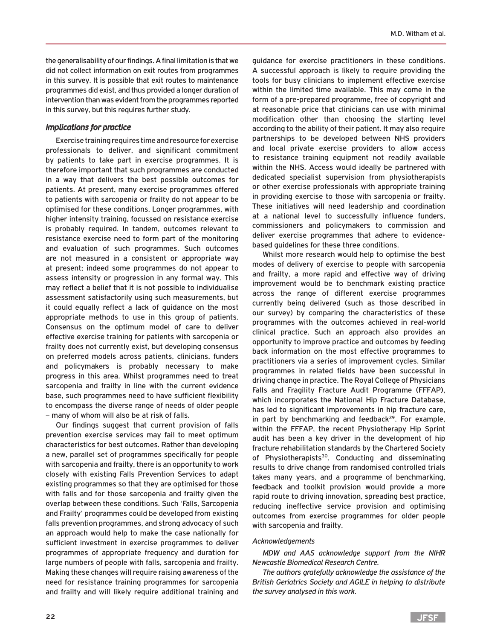the generalisability of our findings. A final limitation is that we did not collect information on exit routes from programmes in this survey. It is possible that exit routes to maintenance programmes did exist, and thus provided a longer duration of intervention than was evident from the programmes reported in this survey, but this requires further study.

## *Implications for practice*

Exercise training requires time and resource for exercise professionals to deliver, and significant commitment by patients to take part in exercise programmes. It is therefore important that such programmes are conducted in a way that delivers the best possible outcomes for patients. At present, many exercise programmes offered to patients with sarcopenia or frailty do not appear to be optimised for these conditions. Longer programmes, with higher intensity training, focussed on resistance exercise is probably required. In tandem, outcomes relevant to resistance exercise need to form part of the monitoring and evaluation of such programmes. Such outcomes are not measured in a consistent or appropriate way at present; indeed some programmes do not appear to assess intensity or progression in any formal way. This may reflect a belief that it is not possible to individualise assessment satisfactorily using such measurements, but it could equally reflect a lack of guidance on the most appropriate methods to use in this group of patients. Consensus on the optimum model of care to deliver effective exercise training for patients with sarcopenia or frailty does not currently exist, but developing consensus on preferred models across patients, clinicians, funders and policymakers is probably necessary to make progress in this area. Whilst programmes need to treat sarcopenia and frailty in line with the current evidence base, such programmes need to have sufficient flexibility to encompass the diverse range of needs of older people – many of whom will also be at risk of falls.

Our findings suggest that current provision of falls prevention exercise services may fail to meet optimum characteristics for best outcomes. Rather than developing a new, parallel set of programmes specifically for people with sarcopenia and frailty, there is an opportunity to work closely with existing Falls Prevention Services to adapt existing programmes so that they are optimised for those with falls and for those sarcopenia and frailty given the overlap between these conditions. Such 'Falls, Sarcopenia and Frailty' programmes could be developed from existing falls prevention programmes, and strong advocacy of such an approach would help to make the case nationally for sufficient investment in exercise programmes to deliver programmes of appropriate frequency and duration for large numbers of people with falls, sarcopenia and frailty. Making these changes will require raising awareness of the need for resistance training programmes for sarcopenia and frailty and will likely require additional training and

guidance for exercise practitioners in these conditions. A successful approach is likely to require providing the tools for busy clinicians to implement effective exercise within the limited time available. This may come in the form of a pre-prepared programme, free of copyright and at reasonable price that clinicians can use with minimal modification other than choosing the starting level according to the ability of their patient. It may also require partnerships to be developed between NHS providers and local private exercise providers to allow access to resistance training equipment not readily available within the NHS. Access would ideally be partnered with dedicated specialist supervision from physiotherapists or other exercise professionals with appropriate training in providing exercise to those with sarcopenia or frailty. These initiatives will need leadership and coordination at a national level to successfully influence funders, commissioners and policymakers to commission and deliver exercise programmes that adhere to evidencebased guidelines for these three conditions.

Whilst more research would help to optimise the best modes of delivery of exercise to people with sarcopenia and frailty, a more rapid and effective way of driving improvement would be to benchmark existing practice across the range of different exercise programmes currently being delivered (such as those described in our survey) by comparing the characteristics of these programmes with the outcomes achieved in real-world clinical practice. Such an approach also provides an opportunity to improve practice and outcomes by feeding back information on the most effective programmes to practitioners via a series of improvement cycles. Similar programmes in related fields have been successful in driving change in practice. The Royal College of Physicians Falls and Fragility Fracture Audit Programme (FFFAP), which incorporates the National Hip Fracture Database, has led to significant improvements in hip fracture care, in part by benchmarking and feedback<sup>29</sup>. For example, within the FFFAP, the recent Physiotherapy Hip Sprint audit has been a key driver in the development of hip fracture rehabilitation standards by the Chartered Society of Physiotherapists<sup>30</sup>. Conducting and disseminating results to drive change from randomised controlled trials takes many years, and a programme of benchmarking, feedback and toolkit provision would provide a more rapid route to driving innovation, spreading best practice, reducing ineffective service provision and optimising outcomes from exercise programmes for older people with sarcopenia and frailty.

#### *Acknowledgements*

*MDW and AAS acknowledge support from the NIHR Newcastle Biomedical Research Centre.*

*The authors gratefully acknowledge the assistance of the British Geriatrics Society and AGILE in helping to distribute the survey analysed in this work.*